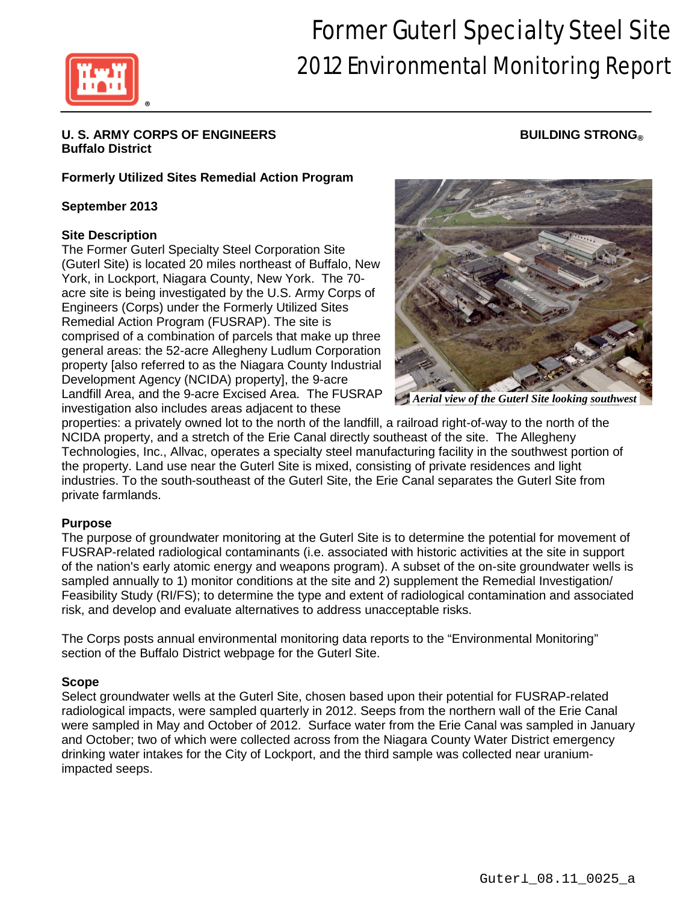

# Former Guterl Specialty Steel Site 2012 Environmental Monitoring Report

# U. S. ARMY CORPS OF ENGINEERS **BUILDING STRONG® Buffalo District**

# **Formerly Utilized Sites Remedial Action Program**

# **September 2013**

# **Site Description**

The Former Guterl Specialty Steel Corporation Site (Guterl Site) is located 20 miles northeast of Buffalo, New York, in Lockport, Niagara County, New York. The 70 acre site is being investigated by the U.S. Army Corps of Engineers (Corps) under the Formerly Utilized Sites Remedial Action Program (FUSRAP). The site is comprised of a combination of parcels that make up three general areas: the 52-acre Allegheny Ludlum Corporation property [also referred to as the Niagara County Industrial Development Agency (NCIDA) property], the 9-acre Landfill Area, and the 9-acre Excised Area. The FUSRAP investigation also includes areas adjacent to these



*Aerial view of the Guterl Site looking southwest*

properties: a privately owned lot to the north of the landfill, a railroad right-of-way to the north of the NCIDA property, and a stretch of the Erie Canal directly southeast of the site. The Allegheny Technologies, Inc., Allvac, operates a specialty steel manufacturing facility in the southwest portion of the property. Land use near the Guterl Site is mixed, consisting of private residences and light industries. To the south-southeast of the Guterl Site, the Erie Canal separates the Guterl Site from private farmlands.

# **Purpose**

The purpose of groundwater monitoring at the Guterl Site is to determine the potential for movement of FUSRAP-related radiological contaminants (i.e. associated with historic activities at the site in support of the nation's early atomic energy and weapons program). A subset of the on-site groundwater wells is sampled annually to 1) monitor conditions at the site and 2) supplement the Remedial Investigation/ Feasibility Study (RI/FS); to determine the type and extent of radiological contamination and associated risk, and develop and evaluate alternatives to address unacceptable risks.

The Corps posts annual environmental monitoring data reports to the "Environmental Monitoring" section of the Buffalo District webpage for the Guterl Site.

# **Scope**

Select groundwater wells at the Guterl Site, chosen based upon their potential for FUSRAP-related radiological impacts, were sampled quarterly in 2012. Seeps from the northern wall of the Erie Canal were sampled in May and October of 2012. Surface water from the Erie Canal was sampled in January and October; two of which were collected across from the Niagara County Water District emergency drinking water intakes for the City of Lockport, and the third sample was collected near uraniumimpacted seeps.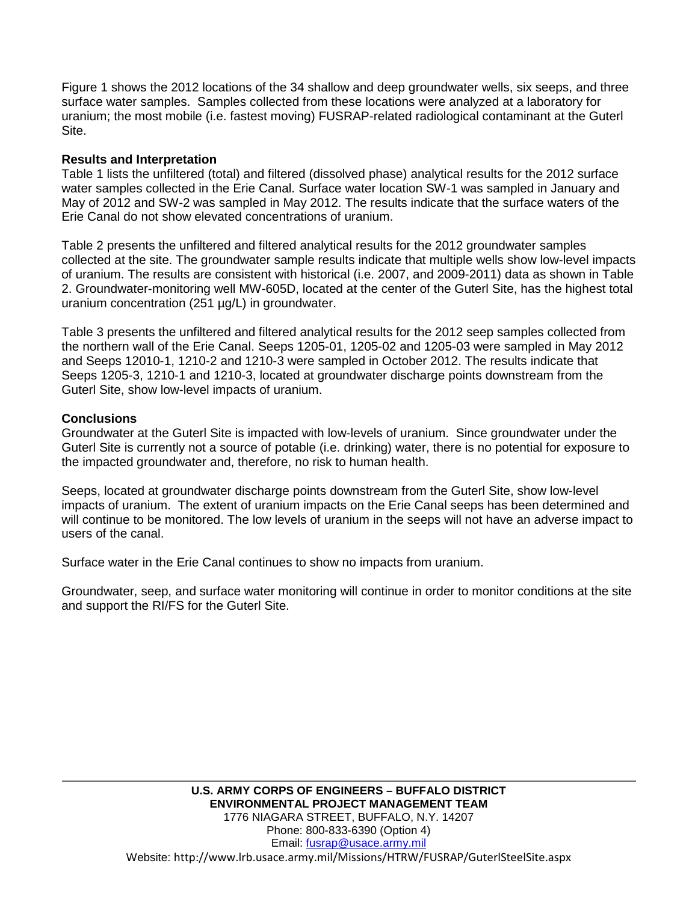Figure 1 shows the 2012 locations of the 34 shallow and deep groundwater wells, six seeps, and three surface water samples. Samples collected from these locations were analyzed at a laboratory for uranium; the most mobile (i.e. fastest moving) FUSRAP-related radiological contaminant at the Guterl Site.

# **Results and Interpretation**

Table 1 lists the unfiltered (total) and filtered (dissolved phase) analytical results for the 2012 surface water samples collected in the Erie Canal. Surface water location SW-1 was sampled in January and May of 2012 and SW-2 was sampled in May 2012. The results indicate that the surface waters of the Erie Canal do not show elevated concentrations of uranium.

Table 2 presents the unfiltered and filtered analytical results for the 2012 groundwater samples collected at the site. The groundwater sample results indicate that multiple wells show low-level impacts of uranium. The results are consistent with historical (i.e. 2007, and 2009-2011) data as shown in Table 2. Groundwater-monitoring well MW-605D, located at the center of the Guterl Site, has the highest total uranium concentration (251 µg/L) in groundwater.

Table 3 presents the unfiltered and filtered analytical results for the 2012 seep samples collected from the northern wall of the Erie Canal. Seeps 1205-01, 1205-02 and 1205-03 were sampled in May 2012 and Seeps 12010-1, 1210-2 and 1210-3 were sampled in October 2012. The results indicate that Seeps 1205-3, 1210-1 and 1210-3, located at groundwater discharge points downstream from the Guterl Site, show low-level impacts of uranium.

# **Conclusions**

Groundwater at the Guterl Site is impacted with low-levels of uranium. Since groundwater under the Guterl Site is currently not a source of potable (i.e. drinking) water, there is no potential for exposure to the impacted groundwater and, therefore, no risk to human health.

Seeps, located at groundwater discharge points downstream from the Guterl Site, show low-level impacts of uranium. The extent of uranium impacts on the Erie Canal seeps has been determined and will continue to be monitored. The low levels of uranium in the seeps will not have an adverse impact to users of the canal.

Surface water in the Erie Canal continues to show no impacts from uranium.

Groundwater, seep, and surface water monitoring will continue in order to monitor conditions at the site and support the RI/FS for the Guterl Site.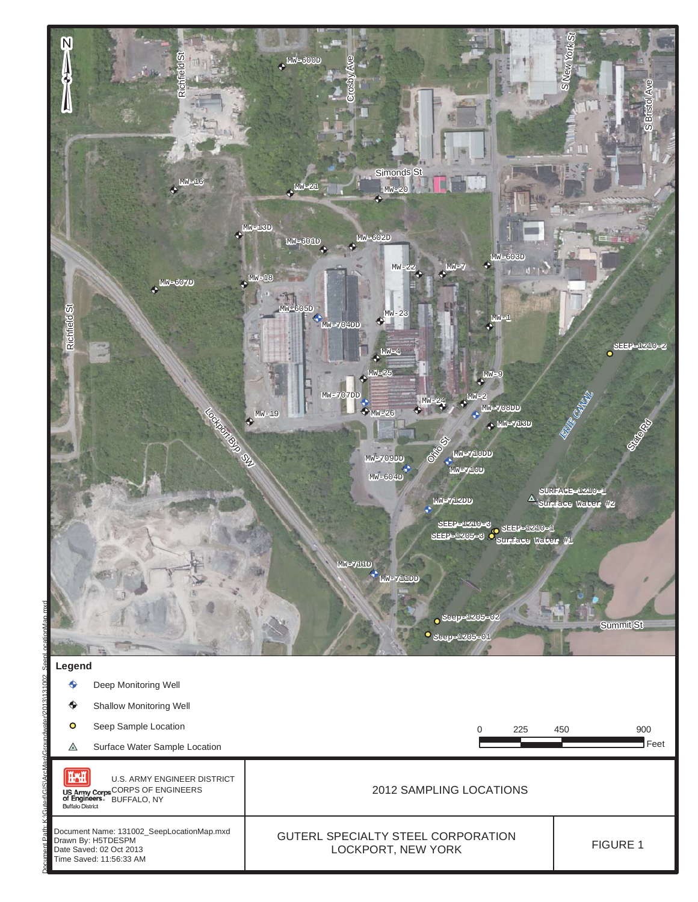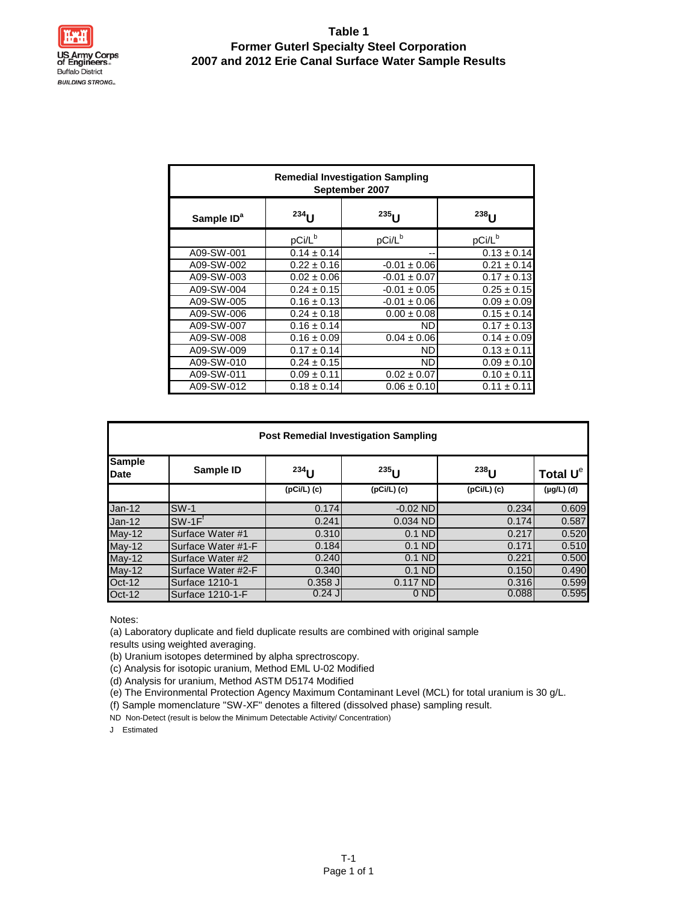# **Table 1 Former Guterl Specialty Steel Corporation 2007 and 2012 Erie Canal Surface Water Sample Results**

|                        | <b>Remedial Investigation Sampling</b><br>September 2007 |                    |                    |  |  |  |  |  |  |  |  |  |
|------------------------|----------------------------------------------------------|--------------------|--------------------|--|--|--|--|--|--|--|--|--|
| Sample ID <sup>a</sup> | $234$ U                                                  | $235$ U            | $238$ U            |  |  |  |  |  |  |  |  |  |
|                        | pCi/L <sup>b</sup>                                       | pCi/L <sup>b</sup> | pCi/L <sup>b</sup> |  |  |  |  |  |  |  |  |  |
| A09-SW-001             | $0.14 \pm 0.14$                                          |                    | $0.13 \pm 0.14$    |  |  |  |  |  |  |  |  |  |
| A09-SW-002             | $0.22 \pm 0.16$                                          | $-0.01 \pm 0.06$   | $0.21 \pm 0.14$    |  |  |  |  |  |  |  |  |  |
| A09-SW-003             | $0.02 \pm 0.06$                                          | $-0.01 \pm 0.07$   | $0.17 \pm 0.13$    |  |  |  |  |  |  |  |  |  |
| A09-SW-004             | $0.24 \pm 0.15$                                          | $-0.01 \pm 0.05$   | $0.25 \pm 0.15$    |  |  |  |  |  |  |  |  |  |
| A09-SW-005             | $0.16 \pm 0.13$                                          | $-0.01 \pm 0.06$   | $0.09 \pm 0.09$    |  |  |  |  |  |  |  |  |  |
| A09-SW-006             | $0.24 \pm 0.18$                                          | $0.00 \pm 0.08$    | $0.15 \pm 0.14$    |  |  |  |  |  |  |  |  |  |
| A09-SW-007             | $0.16 \pm 0.14$                                          | ND.                | $0.17 \pm 0.13$    |  |  |  |  |  |  |  |  |  |
| A09-SW-008             | $0.16 \pm 0.09$                                          | $0.04 \pm 0.06$    | $0.14 \pm 0.09$    |  |  |  |  |  |  |  |  |  |
| A09-SW-009             | $0.17 \pm 0.14$                                          | ND.                | $0.13 \pm 0.11$    |  |  |  |  |  |  |  |  |  |
| A09-SW-010             | $0.24 \pm 0.15$                                          | ND.                | $0.09 \pm 0.10$    |  |  |  |  |  |  |  |  |  |
| A09-SW-011             | $0.09 \pm 0.11$                                          | $0.02 \pm 0.07$    | $0.10 \pm 0.11$    |  |  |  |  |  |  |  |  |  |
| A09-SW-012             | $0.18 \pm 0.14$                                          | $0.06 \pm 0.10$    | $0.11 \pm 0.11$    |  |  |  |  |  |  |  |  |  |

|                              | <b>Post Remedial Investigation Sampling</b> |               |                 |               |                 |  |  |  |  |  |  |  |
|------------------------------|---------------------------------------------|---------------|-----------------|---------------|-----------------|--|--|--|--|--|--|--|
| <b>Sample</b><br><b>Date</b> | Sample ID                                   | $^{234}$ U    | $^{235}$ U      | $^{238}$ U    | Total $U^e$     |  |  |  |  |  |  |  |
|                              |                                             | $(pCi/L)$ (c) | $(pCi/L)$ (c)   | $(pCi/L)$ (c) | $(\mu g/L)$ (d) |  |  |  |  |  |  |  |
| $Jan-12$                     | $SW-1$                                      | 0.174         | $-0.02$ ND      | 0.234         | 0.609           |  |  |  |  |  |  |  |
| $Jan-12$                     | $SW-1FT$                                    | 0.241         | 0.034 ND        | 0.174         | 0.587           |  |  |  |  |  |  |  |
| $May-12$                     | Surface Water #1                            | 0.310         | $0.1$ ND        | 0.217         | 0.520           |  |  |  |  |  |  |  |
| $May-12$                     | Surface Water #1-F                          | 0.184         | $0.1$ ND        | 0.171         | 0.510           |  |  |  |  |  |  |  |
| $May-12$                     | Surface Water #2                            | 0.240         | $0.1$ ND        | 0.221         | 0.500           |  |  |  |  |  |  |  |
| $May-12$                     | Surface Water #2-F                          | 0.340         | $0.1$ ND        | 0.150         | 0.490           |  |  |  |  |  |  |  |
| $Oct-12$                     | Surface 1210-1                              | $0.358$ J     | $0.117$ ND      | 0.316         | 0.599           |  |  |  |  |  |  |  |
| <b>Oct-12</b>                | Surface 1210-1-F                            | $0.24$ J      | 0 <sub>ND</sub> | 0.088         | 0.595           |  |  |  |  |  |  |  |

Notes:

(a) Laboratory duplicate and field duplicate results are combined with original sample

results using weighted averaging.

(b) Uranium isotopes determined by alpha sprectroscopy.

(c) Analysis for isotopic uranium, Method EML U-02 Modified

(d) Analysis for uranium, Method ASTM D5174 Modified

(e) The Environmental Protection Agency Maximum Contaminant Level (MCL) for total uranium is 30 g/L.

(f) Sample momenclature "SW-XF" denotes a filtered (dissolved phase) sampling result.

ND Non-Detect (result is below the Minimum Detectable Activity/ Concentration)

J Estimated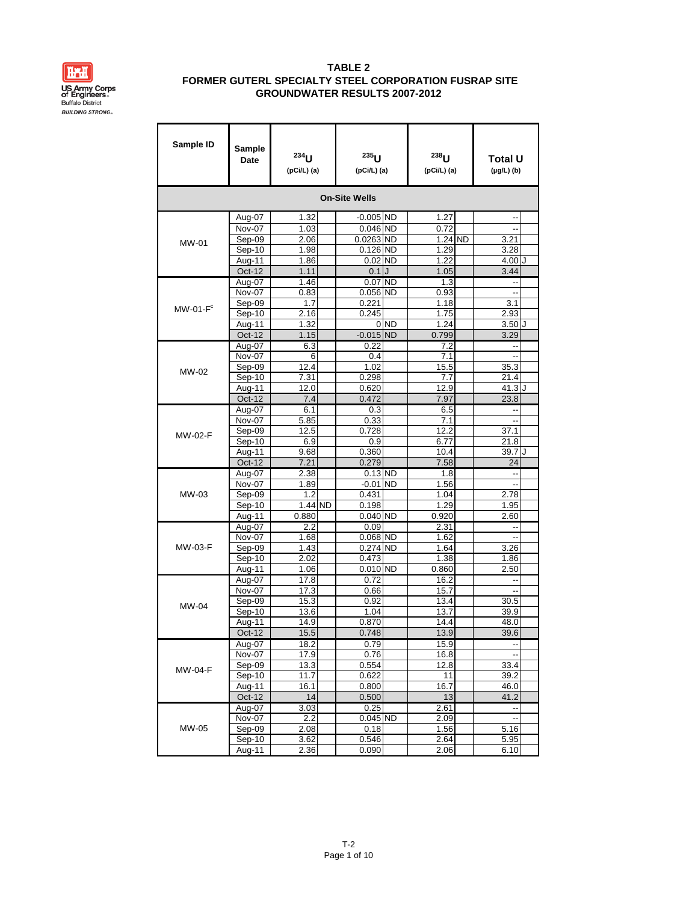

| Sample ID      | Sample<br>Date     | 234<br>(pCi/L) (a) | $235$ U<br>(pCi/L) (a) |                 | $238$ <sub>U</sub><br>$(pCi/L)$ (a) | <b>Total U</b><br>$(\mu g/L)$ (b) |         |
|----------------|--------------------|--------------------|------------------------|-----------------|-------------------------------------|-----------------------------------|---------|
|                |                    |                    | <b>On-Site Wells</b>   |                 |                                     |                                   |         |
|                | Aug-07             | 1.32               | $-0.005$ ND            |                 | 1.27                                | ٠.                                |         |
|                | Nov-07             | 1.03               | $0.046$ ND             |                 | 0.72                                | --                                |         |
| <b>MW-01</b>   | Sep-09             | 2.06               | 0.0263 ND              |                 | 1.24 ND                             | 3.21                              |         |
|                | Sep-10             | 1.98               | $0.126$ ND             |                 | 1.29                                | 3.28                              |         |
|                | Aug-11             | 1.86               | $0.02$ ND              |                 | 1.22                                | $4.00$ J                          |         |
|                | <b>Oct-12</b>      | 1.11               | 0.1                    |                 | 1.05                                | 3.44                              |         |
|                | Aug-07             | 1.46               | 0.07 ND                |                 | 1.3                                 | $\overline{a}$                    |         |
|                | Nov-07             | 0.83               | 0.056 ND               |                 | 0.93                                | --                                |         |
| $MW-01-Fc$     | Sep-09             | 1.7                | 0.221                  |                 | 1.18                                | 3.1                               |         |
|                | Sep-10             | 2.16<br>1.32       | 0.245                  | 0 <sub>ND</sub> | 1.75<br>1.24                        | 2.93<br>3.50J                     |         |
|                | Aug-11<br>Oct-12   | 1.15               | $-0.015$ ND            |                 | 0.799                               | 3.29                              |         |
|                | Aug-07             | 6.3                | 0.22                   |                 | 7.2                                 | --                                |         |
|                | Nov-07             | 6                  | 0.4                    |                 | 7.1                                 | Ξ.                                |         |
|                | Sep-09             | 12.4               | 1.02                   |                 | 15.5                                | 35.3                              |         |
| MW-02          | Sep-10             | 7.31               | 0.298                  |                 | 7.7                                 | 21.4                              |         |
|                | Aug-11             | 12.0               | 0.620                  |                 | 12.9                                | 41.3 J                            |         |
|                | Oct-12             | 7.4                | 0.472                  |                 | 7.97                                | 23.8                              |         |
|                | Aug-07             | 6.1                | 0.3                    |                 | 6.5                                 |                                   |         |
|                | Nov-07             | 5.85               | 0.33                   |                 | 7.1                                 | --                                |         |
| <b>MW-02-F</b> | Sep-09             | 12.5               | 0.728                  |                 | 12.2                                | 37.1                              |         |
|                | Sep-10             | 6.9                | 0.9                    |                 | 6.77                                | 21.8                              |         |
|                | Aug-11             | 9.68               | 0.360                  |                 | 10.4                                | 39.7                              | $\cdot$ |
|                | Oct-12             | 7.21               | 0.279                  |                 | 7.58                                | 24                                |         |
|                | Aug-07             | 2.38               | $0.13$ ND              |                 | 1.8                                 | --                                |         |
| MW-03          | Nov-07<br>Sep-09   | 1.89<br>1.2        | $-0.01$ ND<br>0.431    |                 | 1.56<br>1.04                        | --<br>2.78                        |         |
|                | Sep-10             | 1.44 ND            | 0.198                  |                 | 1.29                                | 1.95                              |         |
|                | Aug-11             | 0.880              | 0.040 ND               |                 | 0.920                               | 2.60                              |         |
|                | Aug-07             | 2.2                | 0.09                   |                 | 2.31                                |                                   |         |
|                | Nov-07             | 1.68               | 0.068 ND               |                 | 1.62                                | --                                |         |
| <b>MW-03-F</b> | Sep-09             | 1.43               | 0.274 ND               |                 | 1.64                                | 3.26                              |         |
|                | Sep-10             | 2.02               | 0.473                  |                 | 1.38                                | 1.86                              |         |
|                | Aug-11             | 1.06               | $0.010$ ND             |                 | 0.860                               | 2.50                              |         |
|                | Aug-07             | 17.8               | 0.72                   |                 | 16.2                                |                                   |         |
|                | Nov-07             | 17.3               | 0.66                   |                 | 15.7                                | --                                |         |
| MW-04          | Sep-09             | 15.3               | 0.92                   |                 | 13.4                                | 30.5                              |         |
|                | Sep-10             | 13.6               | 1.04                   |                 | 13.7                                | 39.9                              |         |
|                | Aug-11<br>$Oct-12$ | 14.9<br>15.5       | 0.870                  |                 | 14.4<br>13.9                        | 48.0<br>39.6                      |         |
|                |                    |                    | 0.748                  |                 |                                     |                                   |         |
|                | Aug-07<br>Nov-07   | 18.2<br>17.9       | 0.79<br>0.76           |                 | 15.9<br>16.8                        |                                   |         |
|                | Sep-09             | 13.3               | 0.554                  |                 | 12.8                                | 33.4                              |         |
| MW-04-F        | Sep-10             | 11.7               | 0.622                  |                 | 11                                  | 39.2                              |         |
|                | Aug-11             | 16.1               | 0.800                  |                 | 16.7                                | 46.0                              |         |
|                | Oct-12             | 14                 | 0.500                  |                 | 13                                  | 41.2                              |         |
|                | Aug-07             | 3.03               | 0.25                   |                 | 2.61                                | --                                |         |
|                | Nov-07             | 2.2                | 0.045 ND               |                 | 2.09                                | $\overline{\phantom{a}}$          |         |
| MW-05          | Sep-09             | 2.08               | 0.18                   |                 | 1.56                                | 5.16                              |         |
|                | Sep-10             | 3.62               | 0.546                  |                 | 2.64                                | 5.95                              |         |
|                | Aug-11             | 2.36               | 0.090                  |                 | 2.06                                | 6.10                              |         |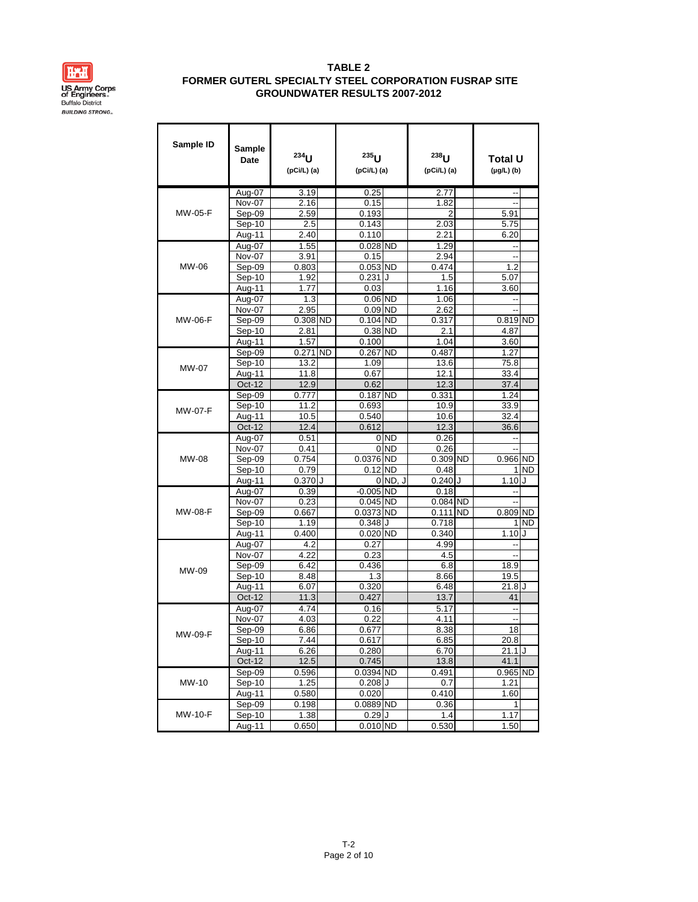

| Sample ID      | Sample<br><b>Date</b> | 234<br>(pCi/L) (a) | $235$ U<br>(pCi/L) (a)   |           | $238$ U<br>(pCi/L) (a) | Total U<br>$(\mu g/L)$ (b) |     |
|----------------|-----------------------|--------------------|--------------------------|-----------|------------------------|----------------------------|-----|
|                | Aug-07                | 3.19               | 0.25                     |           | 2.77                   |                            |     |
|                | Nov-07                | 2.16               | 0.15                     |           | 1.82                   | Ξ.                         |     |
| MW-05-F        | Sep-09                | 2.59               | 0.193                    |           | 2                      | 5.91                       |     |
|                | Sep-10                | 2.5                | 0.143                    |           | 2.03                   | 5.75                       |     |
|                | Aug-11                | 2.40               | 0.110                    |           | 2.21                   | 6.20                       |     |
|                | Aug-07                | 1.55               | $0.028$ ND               |           | 1.29                   |                            |     |
|                | Nov-07                | 3.91               | 0.15                     |           | 2.94                   | --                         |     |
| MW-06          | Sep-09                | 0.803              | $0.053$ ND               |           | 0.474                  | 1.2                        |     |
|                | Sep-10                | 1.92               | 0.231                    | . I       | 1.5                    | 5.07                       |     |
|                | Aug-11                | 1.77               | 0.03                     |           | 1.16                   | 3.60                       |     |
|                | Aug-07                | 1.3                | $0.06$ ND                |           | 1.06                   | ٠.                         |     |
|                | Nov-07                | 2.95               | $0.09$ ND                |           | 2.62                   | ٠.                         |     |
| <b>MW-06-F</b> | Sep-09                | $0.308$ ND         | $0.104$ ND               |           | 0.317                  | $0.819$ ND                 |     |
|                | Sep-10                | 2.81               | 0.38 ND                  |           | 2.1                    | 4.87                       |     |
|                | Aug-11                | 1.57               | 0.100                    |           | 1.04                   | 3.60                       |     |
|                | Sep-09                | 0.271 ND           | $0.267$ ND               |           | 0.487                  | 1.27                       |     |
| MW-07          | Sep-10                | 13.2<br>11.8       | 1.09<br>0.67             |           | 13.6<br>12.1           | 75.8<br>33.4               |     |
|                | Aug-11<br>Oct-12      |                    |                          |           |                        |                            |     |
|                |                       | 12.9<br>0.777      | 0.62<br>$0.187$ ND       |           | 12.3                   | 37.4<br>1.24               |     |
|                | Sep-09<br>Sep-10      | 11.2               | 0.693                    |           | 0.331<br>10.9          |                            |     |
| <b>MW-07-F</b> | Aug-11                | 10.5               | 0.540                    |           | 10.6                   | 33.9<br>32.4               |     |
|                | Oct-12                | 12.4               | 0.612                    |           | 12.3                   | 36.6                       |     |
|                | Aug-07                | 0.51               |                          | 0 ND      | 0.26                   | ٠.                         |     |
|                | Nov-07                | 0.41               | 0                        | <b>ND</b> | 0.26                   |                            |     |
| <b>MW-08</b>   | Sep-09                | 0.754              | 0.0376 ND                |           | $0.309$ ND             | 0.966 ND                   |     |
|                | Sep-10                | 0.79               | 0.12                     | <b>ND</b> | 0.48                   | 1                          | ND. |
|                | Aug-11                | $0.370$ J          | 0                        | ND, J     | $0.240$ J              | 1.10                       | J   |
|                | Aug-07                | 0.39               | $-0.005$ ND              |           | 0.18                   |                            |     |
|                | Nov-07                | 0.23               | $0.045$ ND               |           | $0.084$ ND             |                            |     |
| <b>MW-08-F</b> | Sep-09                | 0.667              | 0.0373 ND                |           | $0.111$ ND             | 0.809 ND                   |     |
|                | Sep-10                | 1.19               | 0.348                    |           | 0.718                  | 1                          | ND  |
|                | Aug-11                | 0.400              | $0.020$ ND               |           | 0.340                  | 1.10                       | J   |
|                | Aug-07                | 4.2                | 0.27                     |           | 4.99                   | ٠.                         |     |
|                | Nov-07                | 4.22               | 0.23                     |           | 4.5                    | ٠.                         |     |
| MW-09          | Sep-09                | 6.42               | 0.436                    |           | 6.8                    | 18.9                       |     |
|                | Sep-10                | 8.48               | 1.3                      |           | 8.66                   | 19.5                       |     |
|                | Aug-11                | 6.07               | 0.320                    |           | 6.48                   | $21.8$ J                   |     |
|                | Oct-12                | 11.3               | 0.427                    |           | 13.7                   | 41                         |     |
|                | Aug-07                | 4.74               | 0.16                     |           | 5.17                   | ٠.                         |     |
|                | Nov-07                | 4.03               | 0.22                     |           | 4.11                   | --                         |     |
| MW-09-F        | Sep-09                | 6.86               | 0.677                    |           | 8.38                   | 18                         |     |
|                | $Sep-10$              | 7.44               | 0.617                    |           | 6.85                   | 20.8                       |     |
|                | Aug-11                | 6.26               | 0.280                    |           | 6.70                   | $21.1$ J                   |     |
|                | Oct-12                | 12.5               | 0.745                    |           | 13.8                   | 41.1                       |     |
| MW-10          | Sep-09                | 0.596<br>1.25      | 0.0394 ND<br>$0.208$ $J$ |           | 0.491                  | $0.965$ ND<br>1.21         |     |
|                | Sep-10<br>Aug-11      | 0.580              | 0.020                    |           | 0.7<br>0.410           | 1.60                       |     |
|                | Sep-09                | 0.198              | $0.0889$ ND              |           | 0.36                   | $\mathbf{1}$               |     |
| <b>MW-10-F</b> | Sep-10                | 1.38               | 0.29J                    |           | 1.4                    | 1.17                       |     |
|                | Aug-11                | 0.650              | $0.010$ ND               |           | 0.530                  | 1.50                       |     |
|                |                       |                    |                          |           |                        |                            |     |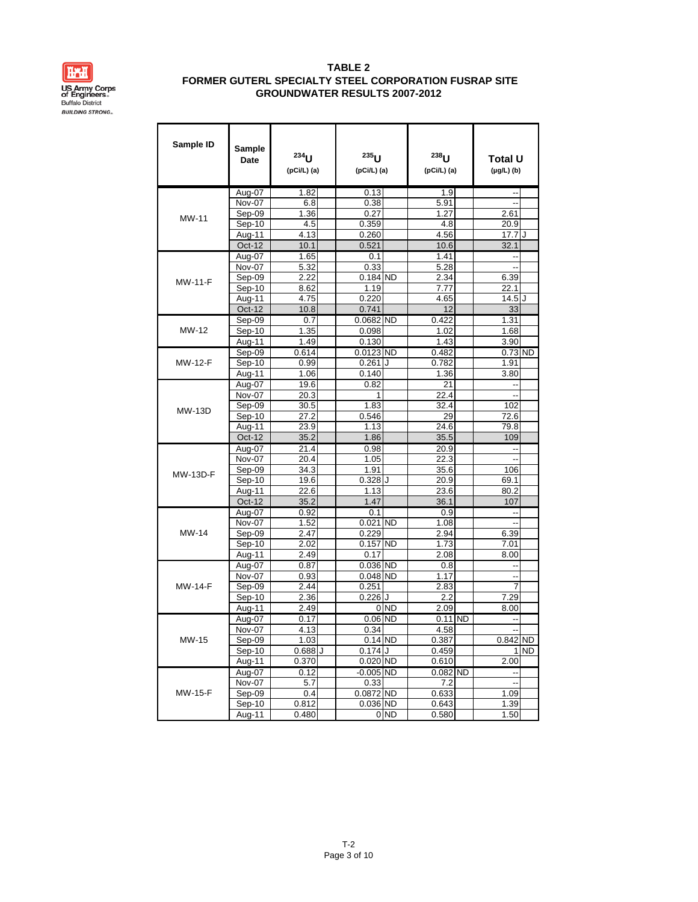

| Sample ID       | Sample<br>Date              | 234<br>(pCi/L) (a) | $235$ <sub>U</sub><br>(pCi/L) (a) |                 | $238$ <sub>U</sub><br>(pCi/L) (a) | Total U<br>$(\mu g/L)$ (b) |     |
|-----------------|-----------------------------|--------------------|-----------------------------------|-----------------|-----------------------------------|----------------------------|-----|
|                 | Aug-07                      | 1.82               | 0.13                              |                 | 1.9                               | ٠.                         |     |
|                 | Nov-07                      | 6.8                | 0.38                              |                 | 5.91                              | Ξ.                         |     |
| MW-11           | Sep-09                      | 1.36               | 0.27                              |                 | 1.27                              | 2.61                       |     |
|                 | Sep-10                      | 4.5                | 0.359                             |                 | 4.8                               | 20.9                       |     |
|                 | Aug-11                      | 4.13               | 0.260                             |                 | 4.56                              | 17.7                       | J   |
|                 | Oct-12                      | 10.1               | 0.521                             |                 | 10.6                              | 32.1                       |     |
|                 | Aug-07                      | 1.65               | 0.1                               |                 | 1.41                              | --                         |     |
|                 | Nov-07                      | 5.32               | 0.33                              |                 | 5.28                              |                            |     |
| <b>MW-11-F</b>  | Sep-09                      | 2.22               | $0.184$ ND                        |                 | 2.34                              | 6.39                       |     |
|                 | Sep-10                      | 8.62               | 1.19                              |                 | 7.77                              | 22.1                       |     |
|                 | Aug-11                      | 4.75               | 0.220                             |                 | 4.65                              | 14.5 J                     |     |
|                 | Oct-12                      | 10.8               | 0.741                             |                 | 12                                | 33                         |     |
| MW-12           | Sep-09                      | 0.7                | $0.0682$ ND                       |                 | 0.422                             | 1.31<br>1.68               |     |
|                 | Sep-10                      | 1.35<br>1.49       | 0.098<br>0.130                    |                 | 1.02<br>1.43                      | 3.90                       |     |
|                 | Aug-11                      |                    | 0.0123 ND                         |                 |                                   |                            |     |
| <b>MW-12-F</b>  | Sep-09<br>Sep-10            | 0.614              |                                   | J               | 0.482<br>0.782                    | $0.73$ ND<br>1.91          |     |
|                 | Aug-11                      | 0.99<br>1.06       | 0.261<br>0.140                    |                 | 1.36                              | 3.80                       |     |
|                 | Aug-07                      | 19.6               | 0.82                              |                 | 21                                |                            |     |
|                 | Nov-07                      | 20.3               |                                   |                 | 22.4                              |                            |     |
|                 | Sep-09                      | 30.5               | 1.83                              |                 | 32.4                              | 102                        |     |
| MW-13D          | Sep-10                      | 27.2               | 0.546                             |                 | 29                                | 72.6                       |     |
|                 | Aug-11                      | 23.9               | 1.13                              |                 | 24.6                              | 79.8                       |     |
|                 | $Oct-12$                    | 35.2               | 1.86                              |                 | 35.5                              | 109                        |     |
|                 | Aug-07                      | 21.4               | 0.98                              |                 | 20.9                              | ٠.                         |     |
|                 | Nov-07                      | 20.4               | 1.05                              |                 | 22.3                              | Ξ.                         |     |
|                 | Sep-09                      | 34.3               | 1.91                              |                 | 35.6                              | 106                        |     |
| <b>MW-13D-F</b> | Sep-10                      | 19.6               | $0.328$ J                         |                 | 20.9                              | 69.1                       |     |
|                 | Aug-11                      | 22.6               | 1.13                              |                 | 23.6                              | 80.2                       |     |
|                 | Oct-12                      | 35.2               | 1.47                              |                 | 36.1                              | 107                        |     |
|                 | Aug-07                      | 0.92               | 0.1                               |                 | 0.9                               | ٠.                         |     |
|                 | Nov-07                      | 1.52               | $0.021$ ND                        |                 | 1.08                              | $\overline{a}$             |     |
| MW-14           | Sep-09                      | 2.47               | 0.229                             |                 | 2.94                              | 6.39                       |     |
|                 | Sep-10                      | 2.02               | $0.157$ ND                        |                 | 1.73                              | 7.01                       |     |
|                 | Aug-11                      | 2.49               | 0.17                              |                 | 2.08                              | 8.00                       |     |
|                 | Aug-07                      | 0.87               | 0.036 ND                          |                 | 0.8                               |                            |     |
|                 | Nov-07                      | 0.93               | 0.048 ND                          |                 | 1.17                              | --                         |     |
| <b>MW-14-F</b>  | Sep-09                      | 2.44               | 0.251                             |                 | 2.83                              | 7                          |     |
|                 | Sep-10                      | 2.36               | 0.226                             | J               | 2.2                               | 7.29                       |     |
|                 | Aug-11                      | 2.49               |                                   | 0 <sub>ND</sub> | 2.09                              | 8.00                       |     |
|                 | Aug-07                      | 0.17               | $0.06$ ND                         |                 | $0.11$ ND                         | --                         |     |
|                 | Nov-07                      | 4.13               | 0.34                              |                 | 4.58                              | --                         |     |
| MW-15           | Sep-09                      | 1.03               | $0.14$ ND                         |                 | 0.387                             | 0.842 ND                   |     |
|                 | Sep-10                      | $0.688$ J          | $0.174$ J                         |                 | 0.459                             | $\mathbf{1}$               | ND. |
|                 | Aug-11<br>Aug-07            | 0.370<br>0.12      | 0.020 ND<br>$-0.005$ ND           |                 | 0.610<br>0.082 ND                 | 2.00                       |     |
|                 | $\overline{\text{Nov}}$ -07 | 5.7                | 0.33                              |                 | 7.2                               | ٠.                         |     |
| <b>MW-15-F</b>  | Sep-09                      | 0.4                | 0.0872 ND                         |                 | 0.633                             | 1.09                       |     |
|                 | Sep-10                      | 0.812              | 0.036 ND                          |                 | 0.643                             | 1.39                       |     |
|                 | Aug-11                      | 0.480              |                                   | 0 <sub>ND</sub> | 0.580                             | 1.50                       |     |
|                 |                             |                    |                                   |                 |                                   |                            |     |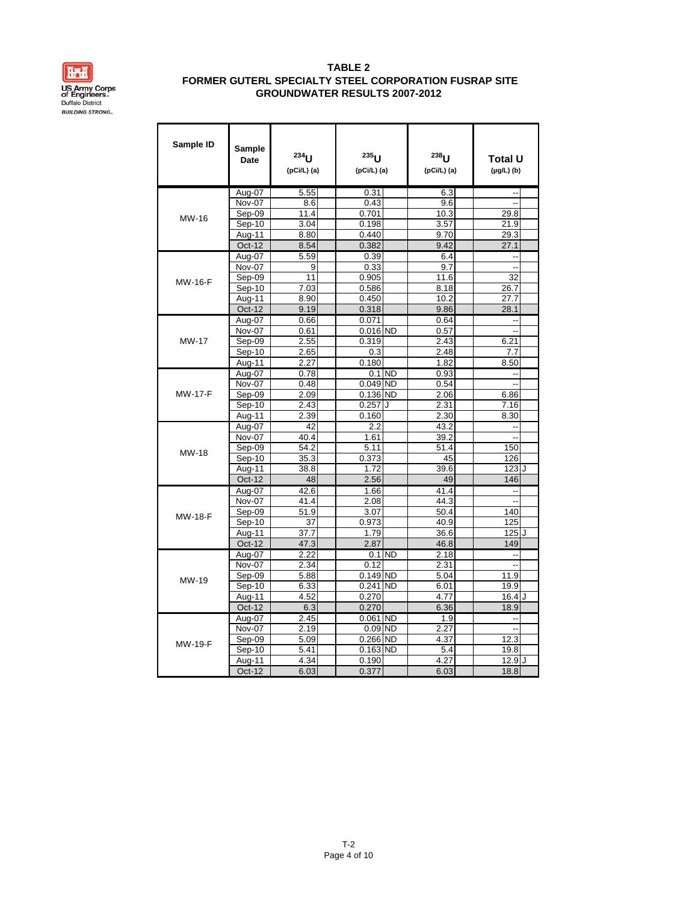

| Sample ID      | Sample<br>Date | $234$ U<br>(pCi/L) (a) | $235$ U<br>(pCi/L) (a) |           | $238$ U<br>(pCi/L) (a) | <b>Total U</b><br>$(\mu g/L)$ (b) |  |
|----------------|----------------|------------------------|------------------------|-----------|------------------------|-----------------------------------|--|
|                | Aug-07         | 5.55                   | 0.31                   |           | 6.3                    | --                                |  |
|                | Nov-07         | 8.6                    | 0.43                   |           | 9.6                    | Ξ.                                |  |
| MW-16          | Sep-09         | 11.4                   | 0.701                  |           | 10.3                   | 29.8                              |  |
|                | Sep-10         | 3.04                   | 0.198                  |           | 3.57                   | 21.9                              |  |
|                | Aug-11         | 8.80                   | 0.440                  |           | 9.70                   | 29.3                              |  |
|                | <b>Oct-12</b>  | 8.54                   | 0.382                  |           | 9.42                   | 27.1                              |  |
|                | Aug-07         | 5.59                   | 0.39                   |           | 6.4                    | ă,                                |  |
|                | Nov-07         | 9                      | 0.33                   |           | 9.7                    | Ξ.                                |  |
| <b>MW-16-F</b> | Sep-09         | 11                     | 0.905                  |           | 11.6                   | 32                                |  |
|                | Sep-10         | 7.03                   | 0.586                  |           | 8.18                   | 26.7                              |  |
|                | Aug-11         | 8.90                   | 0.450                  |           | 10.2                   | 27.7                              |  |
|                | $Oct-12$       | 9.19                   | 0.318                  |           | 9.86                   | 28.1                              |  |
|                | Aug-07         | 0.66                   | 0.071                  |           | 0.64                   | --                                |  |
|                | Nov-07         | 0.61                   | $0.016$ ND             |           | 0.57                   | L.                                |  |
| <b>MW-17</b>   | $Sep-09$       | 2.55                   | 0.319                  |           | 2.43                   | 6.21                              |  |
|                | Sep-10         | 2.65                   | 0.3                    |           | 2.48                   | 7.7                               |  |
|                | Aug-11         | 2.27                   | 0.180                  |           | 1.82                   | 8.50                              |  |
|                | Aug-07         | 0.78                   |                        | $0.1$ ND  | 0.93                   | $\overline{\phantom{a}}$          |  |
|                | Nov-07         | 0.48                   | $0.049$ ND             |           | 0.54                   | $\overline{a}$                    |  |
| <b>MW-17-F</b> | Sep-09         | 2.09                   | 0.136 ND               |           | 2.06                   | 6.86                              |  |
|                | Sep-10         | 2.43                   | 0.257                  | J         | 2.31                   | 7.16                              |  |
|                | Aug-11         | 2.39                   | 0.160                  |           | 2.30                   | 8.30                              |  |
|                | Aug-07         | 42                     | 2.2                    |           | 43.2                   | ٠.                                |  |
|                | Nov-07         | 40.4                   | 1.61                   |           | 39.2                   | Ξ.                                |  |
| MW-18          | Sep-09         | 54.2                   | 5.11                   |           | 51.4                   | 150                               |  |
|                | Sep-10         | 35.3                   | 0.373                  |           | 45                     | 126                               |  |
|                | Aug-11         | 38.8                   | 1.72                   |           | 39.6                   | 123J                              |  |
|                | Oct-12         | 48                     | 2.56                   |           | 49                     | 146                               |  |
|                | Aug-07         | 42.6                   | 1.66                   |           | 41.4                   | Ξ.                                |  |
|                | Nov-07         | 41.4                   | 2.08                   |           | 44.3                   | Ξ.                                |  |
| <b>MW-18-F</b> | Sep-09         | 51.9                   | 3.07                   |           | 50.4                   | 140                               |  |
|                | Sep-10         | 37                     | 0.973                  |           | 40.9                   | 125                               |  |
|                | Aug-11         | 37.7                   | 1.79                   |           | 36.6                   | 125 J                             |  |
|                | Oct-12         | 47.3                   | 2.87                   |           | 46.8                   | 149                               |  |
|                | Aug-07         | 2.22                   |                        | $0.1$ ND  | 2.18                   | $\overline{a}$                    |  |
|                | Nov-07         | 2.34                   | 0.12                   |           | 2.31                   | Ξ.                                |  |
| MW-19          | Sep-09         | 5.88                   | 0.149 ND               |           | 5.04                   | 11.9                              |  |
|                | Sep-10         | 6.33                   | 0.241                  | <b>ND</b> | 6.01                   | 19.9                              |  |
|                | Aug-11         | 4.52                   | 0.270                  |           | 4.77                   | 16.4J                             |  |
|                | Oct-12         | 6.3                    | 0.270                  |           | 6.36                   | 18.9                              |  |
|                | Aug-07         | 2.45                   | 0.061 ND               |           | 1.9                    |                                   |  |
|                | Nov-07         | 2.19                   | $0.09$ ND              |           | 2.27                   | ă.                                |  |
| <b>MW-19-F</b> | Sep-09         | 5.09                   | $0.266$ ND             |           | 4.37                   | 12.3                              |  |
|                | Sep-10         | 5.41                   | $0.163$ ND             |           | 5.4                    | 19.8                              |  |
|                | Aug-11         | 4.34                   | 0.190                  |           | 4.27                   | 12.9J                             |  |
|                | Oct-12         | 6.03                   | 0.377                  |           | 6.03                   | 18.8                              |  |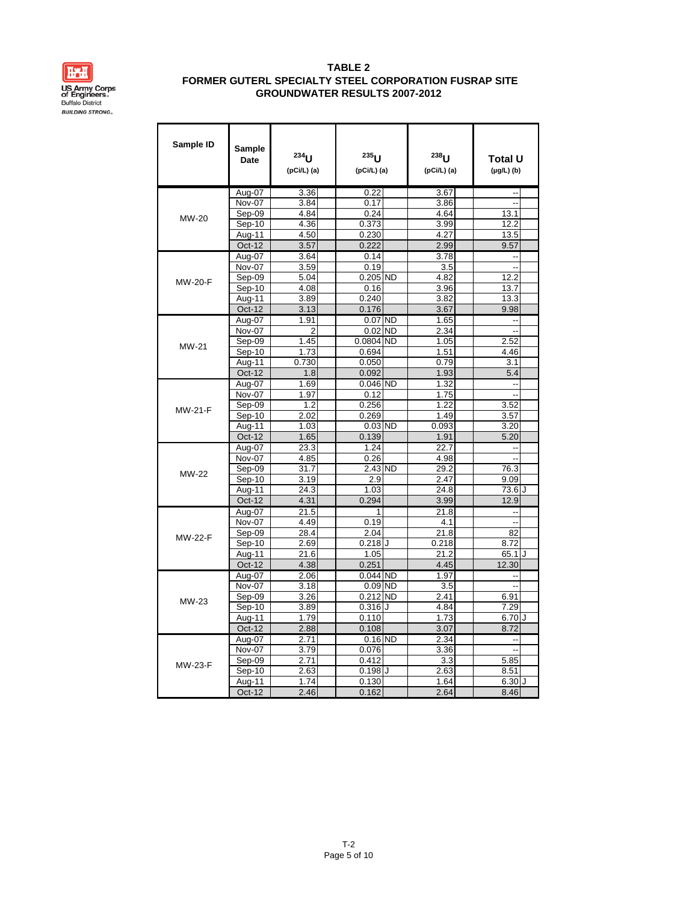

| Sample ID      | Sample<br>Date | $234$ U<br>(pCi/L) (a) | $235$ U<br>(pCi/L) (a) |              | $238$ U<br>(pCi/L) (a) | Total U<br>(µg/L) (b) |  |
|----------------|----------------|------------------------|------------------------|--------------|------------------------|-----------------------|--|
|                | Aug-07         | 3.36                   | 0.22                   |              | 3.67                   | $\overline{a}$        |  |
|                | Nov-07         | 3.84                   | 0.17                   |              | 3.86                   | Ξ.                    |  |
| <b>MW-20</b>   | Sep-09         | 4.84                   | 0.24                   |              | 4.64                   | 13.1                  |  |
|                | Sep-10         | 4.36                   | 0.373                  |              | 3.99                   | 12.2                  |  |
|                | Aug-11         | 4.50                   | 0.230                  |              | 4.27                   | 13.5                  |  |
|                | Oct-12         | 3.57                   | 0.222                  |              | 2.99                   | 9.57                  |  |
|                | Aug-07         | 3.64                   | 0.14                   |              | 3.78                   | --                    |  |
|                | Nov-07         | 3.59                   | 0.19                   |              | 3.5                    | Ξ.                    |  |
| <b>MW-20-F</b> | Sep-09         | 5.04                   | $0.205$ ND             |              | 4.82                   | 12.2                  |  |
|                | Sep-10         | 4.08                   | 0.16                   |              | 3.96                   | 13.7                  |  |
|                | Aug-11         | 3.89                   | 0.240                  |              | 3.82                   | 13.3                  |  |
|                | Oct-12         | 3.13                   | 0.176                  |              | 3.67                   | 9.98                  |  |
|                | Aug-07         | 1.91                   | $0.07$ ND              |              | 1.65                   | Ξ.                    |  |
|                | Nov-07         | $\overline{2}$         | $0.02$ ND              |              | 2.34                   | Ξ.                    |  |
| MW-21          | Sep-09         | 1.45                   | 0.0804 ND              |              | 1.05                   | 2.52                  |  |
|                | Sep-10         | 1.73                   | 0.694                  |              | 1.51                   | 4.46                  |  |
|                | Aug-11         | 0.730                  | 0.050                  |              | 0.79                   | 3.1                   |  |
|                | <b>Oct-12</b>  | 1.8                    | 0.092                  |              | 1.93                   | 5.4                   |  |
|                | Aug-07         | 1.69                   | 0.046 ND               |              | 1.32                   | ٠.                    |  |
|                | Nov-07         | 1.97                   | 0.12                   |              | 1.75                   | Ξ.                    |  |
| <b>MW-21-F</b> | Sep-09         | 1.2                    | 0.256                  |              | 1.22                   | 3.52                  |  |
|                | $Sep-10$       | 2.02                   | 0.269                  |              | 1.49                   | 3.57                  |  |
|                | Aug-11         | 1.03                   | 0.03 ND                |              | 0.093                  | 3.20                  |  |
|                | <b>Oct-12</b>  | 1.65                   | 0.139                  |              | 1.91                   | 5.20                  |  |
|                | Aug-07         | 23.3                   | 1.24                   |              | 22.7                   | --                    |  |
|                | Nov-07         | 4.85                   | 0.26                   |              | 4.98                   | Ξ.                    |  |
| <b>MW-22</b>   | Sep-09         | 31.7                   | 2.43 ND                |              | 29.2                   | 76.3                  |  |
|                | Sep-10         | 3.19                   | 2.9                    |              | 2.47                   | 9.09                  |  |
|                | Aug-11         | 24.3                   | 1.03                   |              | 24.8                   | 73.6 J                |  |
|                | <b>Oct-12</b>  | 4.31                   | 0.294                  |              | 3.99                   | 12.9                  |  |
|                | Aug-07         | 21.5                   | 1                      |              | 21.8                   | Ξ.                    |  |
|                | Nov-07         | 4.49                   | 0.19                   |              | 4.1                    | Ξ.                    |  |
| <b>MW-22-F</b> | Sep-09         | 28.4                   | 2.04                   |              | $\overline{21.8}$      | 82                    |  |
|                | Sep-10         | 2.69                   | $0.218$ J              |              | 0.218                  | 8.72                  |  |
|                | Aug-11         | 21.6                   | 1.05                   |              | 21.2                   | $65.1$ J              |  |
|                | <b>Oct-12</b>  | 4.38                   | 0.251                  |              | 4.45                   | 12.30                 |  |
|                | Aug-07         | 2.06                   | $0.044$ ND             |              | 1.97                   | ٠.                    |  |
|                | Nov-07         | 3.18                   | $0.09$ ND              |              | 3.5                    | Ξ.                    |  |
| MW-23          | Sep-09         | 3.26                   | $0.212$ ND             |              | 2.41                   | 6.91                  |  |
|                | $Sep-10$       | 3.89                   | $0.316$ $J$            |              | 4.84                   | 7.29                  |  |
|                | Aug-11         | 1.79                   | 0.110                  |              | 1.73                   | 6.70J                 |  |
|                | <b>Oct-12</b>  | 2.88                   | 0.108                  |              | 3.07                   | 8.72                  |  |
|                | Aug-07         | 2.71                   | $0.16$ ND              |              | 2.34                   | --                    |  |
|                | Nov-07         | 3.79                   | 0.076                  |              | 3.36                   | Ξ.                    |  |
| <b>MW-23-F</b> | Sep-09         | 2.71                   | 0.412                  |              | 3.3                    | 5.85                  |  |
|                | Sep-10         | 2.63                   | 0.198                  | $\mathbf{I}$ | 2.63                   | 8.51                  |  |
|                | Aug-11         | 1.74                   | 0.130                  |              | 1.64                   | 6.30J                 |  |
|                | Oct-12         | 2.46                   | 0.162                  |              | 2.64                   | 8.46                  |  |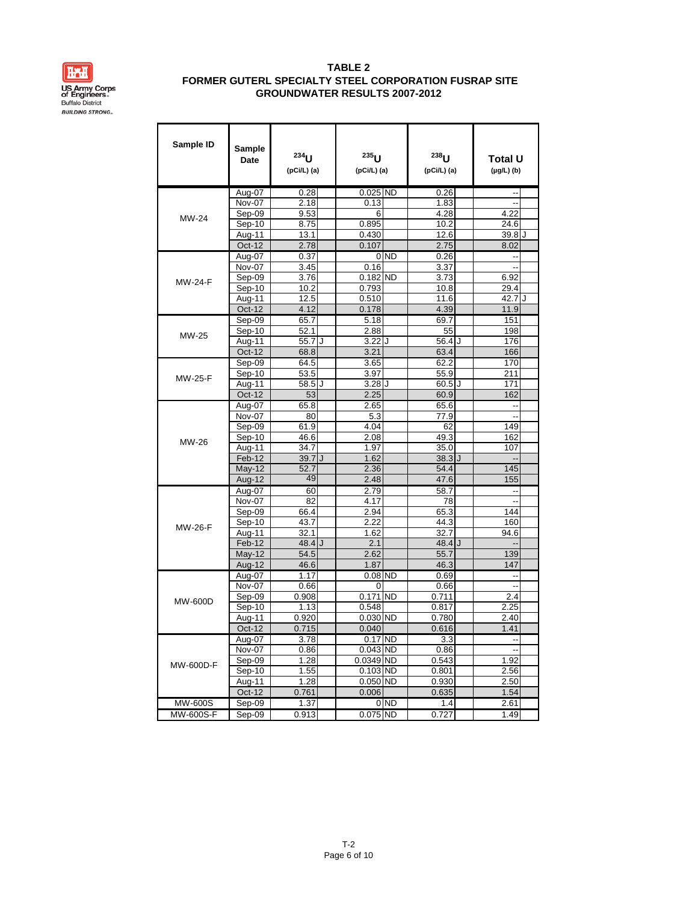

| Sample ID        | Sample<br>Date   | 234<br>(pCi/L) (a) | $235$ U<br>(pCi/L) (a) |                 | $238$ U<br>(pCi/L) (a) | Total U<br>$(\mu g/L)$ (b) |  |
|------------------|------------------|--------------------|------------------------|-----------------|------------------------|----------------------------|--|
|                  | Aug-07           | 0.28               | $0.025$ ND             |                 | 0.26                   |                            |  |
|                  | Nov-07           | 2.18               | 0.13                   |                 | 1.83                   | Ξ.                         |  |
| MW-24            | Sep-09           | 9.53               | 6                      |                 | 4.28                   | 4.22                       |  |
|                  | Sep-10           | 8.75               | 0.895                  |                 | 10.2                   | 24.6                       |  |
|                  | Aug-11           | 13.1               | 0.430                  |                 | 12.6                   | $39.8$ J                   |  |
|                  | <b>Oct-12</b>    | 2.78               | 0.107                  |                 | 2.75                   | 8.02                       |  |
|                  | Aug-07           | 0.37               |                        | 0 <sub>ND</sub> | 0.26                   | ٠.                         |  |
|                  | Nov-07           | 3.45               | 0.16                   |                 | 3.37                   | Ξ.                         |  |
| MW-24-F          | Sep-09           | 3.76               | $0.182$ ND             |                 | 3.73                   | 6.92                       |  |
|                  | Sep-10           | 10.2               | 0.793                  |                 | 10.8                   | 29.4                       |  |
|                  | Aug-11           | 12.5               | 0.510                  |                 | 11.6                   | 42.7 J                     |  |
|                  | Oct-12           | 4.12               | 0.178                  |                 | 4.39                   | 11.9                       |  |
|                  | Sep-09           | 65.7               | 5.18                   |                 | 69.7                   | 151                        |  |
| MW-25            | Sep-10           | 52.1               | 2.88                   |                 | 55                     | 198                        |  |
|                  | Aug-11           | 55.7 J             | $3.22$ U               |                 | 56.4 J                 | 176                        |  |
|                  | Oct-12           | 68.8               | 3.21                   |                 | 63.4                   | 166                        |  |
|                  | Sep-09           | 64.5               | 3.65                   |                 | 62.2                   | 170                        |  |
| MW-25-F          | Sep-10           | 53.5               | 3.97                   |                 | 55.9                   | 211                        |  |
|                  | Aug-11           | $58.5$ J           | $3.28$ $J$             |                 | $60.5$ J               | 171                        |  |
|                  | Oct-12           | 53                 | 2.25                   |                 | 60.9                   | 162                        |  |
|                  | Aug-07           | 65.8               | 2.65                   |                 | 65.6                   | --                         |  |
|                  | Nov-07           | 80                 | 5.3                    |                 | 77.9                   |                            |  |
|                  | Sep-09           | 61.9               | 4.04                   |                 | 62                     | 149                        |  |
| MW-26            | Sep-10           | 46.6               | 2.08                   |                 | 49.3                   | 162                        |  |
|                  | Aug-11<br>Feb-12 | 34.7<br>39.7JJ     | 1.97<br>1.62           |                 | 35.0<br>38.3           | 107<br>Ξ,                  |  |
|                  | <b>May-12</b>    | 52.7               | 2.36                   |                 | 54.4                   | 145                        |  |
|                  | Aug-12           | 49                 | 2.48                   |                 | 47.6                   | 155                        |  |
|                  |                  | 60                 | 2.79                   |                 | 58.7                   | Ξ.                         |  |
|                  | Aug-07<br>Nov-07 | 82                 | 4.17                   |                 | 78                     | --                         |  |
|                  | Sep-09           | 66.4               | 2.94                   |                 | 65.3                   | 144                        |  |
|                  | Sep-10           | 43.7               | 2.22                   |                 | 44.3                   | 160                        |  |
| MW-26-F          | Aug-11           | 32.1               | 1.62                   |                 | 32.7                   | 94.6                       |  |
|                  | Feb-12           | $48.4$ $J$         | 2.1                    |                 | $48.4$ J               | Ξ,                         |  |
|                  | <b>May-12</b>    | 54.5               | 2.62                   |                 | 55.7                   | 139                        |  |
|                  | Aug- $12$        | 46.6               | 1.87                   |                 | 46.3                   | 147                        |  |
|                  | Aug-07           | 1.17               | $0.08$ ND              |                 | 0.69                   | ٠.                         |  |
|                  | Nov-07           | 0.66               | 0                      |                 | 0.66                   | Ξ.                         |  |
|                  | Sep-09           | 0.908              | $0.171$ ND             |                 | 0.711                  | 2.4                        |  |
| MW-600D          | Sep-10           | 1.13               | 0.548                  |                 | 0.817                  | 2.25                       |  |
|                  | Aug-11           | 0.920              | $0.030$ ND             |                 | 0.780                  | 2.40                       |  |
|                  | Oct-12           | 0.715              | 0.040                  |                 | 0.616                  | 1.41                       |  |
|                  | Aug-07           | 3.78               | $0.17$ ND              |                 | 3.3                    | --                         |  |
|                  | Nov-07           | 0.86               | 0.043 ND               |                 | 0.86                   |                            |  |
|                  | Sep-09           | 1.28               | 0.0349 ND              |                 | 0.543                  | 1.92                       |  |
| MW-600D-F        | $Sep-10$         | 1.55               | $0.103$ ND             |                 | 0.801                  | 2.56                       |  |
|                  | Aug-11           | 1.28               | $0.050$ ND             |                 | 0.930                  | 2.50                       |  |
|                  | Oct-12           | 0.761              | 0.006                  |                 | 0.635                  | 1.54                       |  |
| MW-600S          | Sep-09           | 1.37               |                        | 0 <sub>ND</sub> | 1.4                    | 2.61                       |  |
| <b>MW-600S-F</b> | $Sep-09$         | 0.913              | 0.075 ND               |                 | 0.727                  | 1.49                       |  |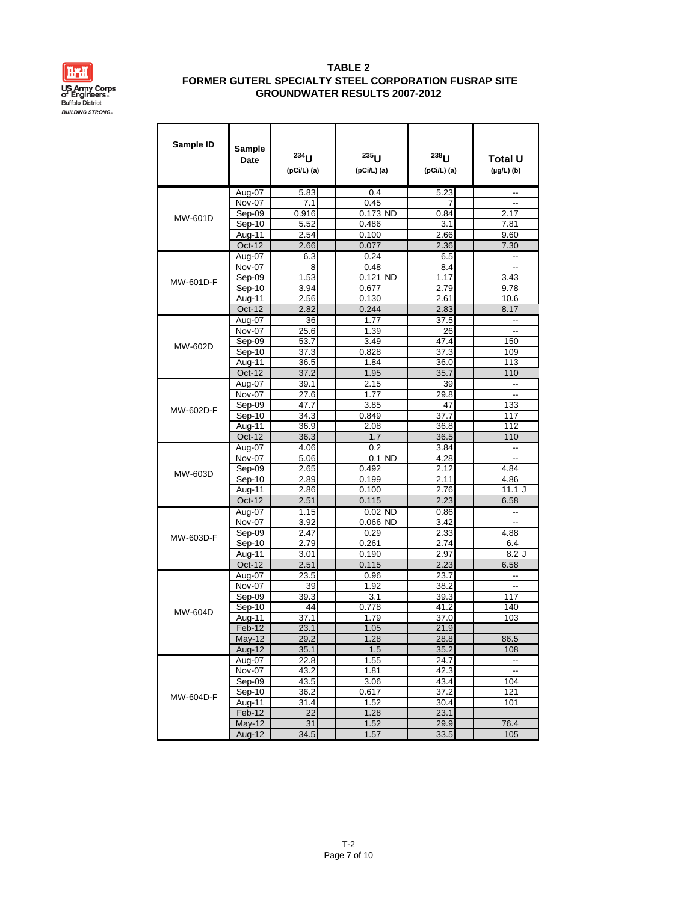

| Sample ID | Sample<br>Date | $234$ <sub>LI</sub><br>(pCi/L) (a) | $235$ U<br>(pCi/L) (a) | $238$ <sub>IJ</sub><br>(pCi/L) (a) | Total U<br>$(\mu g/L)$ (b) |     |
|-----------|----------------|------------------------------------|------------------------|------------------------------------|----------------------------|-----|
|           | Aug-07         | 5.83                               | 0.4                    | 5.23                               |                            |     |
|           | Nov-07         | 7.1                                | 0.45                   | 7                                  | Ξ.                         |     |
| MW-601D   | Sep-09         | 0.916                              | $0.173$ ND             | 0.84                               | 2.17                       |     |
|           | Sep-10         | 5.52                               | 0.486                  | 3.1                                | 7.81                       |     |
|           | Aug-11         | 2.54                               | 0.100                  | 2.66                               | 9.60                       |     |
|           | $Oct-12$       | 2.66                               | 0.077                  | 2.36                               | 7.30                       |     |
|           | Aug-07         | 6.3                                | 0.24                   | 6.5                                | Ξ.                         |     |
|           | Nov-07         | 8                                  | 0.48                   | 8.4                                | ٠.                         |     |
| MW-601D-F | Sep-09         | 1.53                               | $0.121$ ND             | 1.17                               | 3.43                       |     |
|           | Sep-10         | 3.94                               | 0.677                  | 2.79                               | 9.78                       |     |
|           | Aug-11         | 2.56                               | 0.130                  | 2.61                               | 10.6                       |     |
|           | Oct-12         | 2.82                               | 0.244                  | 2.83                               | 8.17                       |     |
|           | Aug-07         | 36                                 | 1.77                   | 37.5                               | --                         |     |
|           | Nov-07         | 25.6                               | 1.39                   | 26                                 | --                         |     |
| MW-602D   | Sep-09         | 53.7                               | 3.49                   | 47.4                               | 150                        |     |
|           | Sep-10         | 37.3                               | 0.828                  | 37.3                               | 109                        |     |
|           | Aug-11         | 36.5                               | 1.84                   | 36.0                               | 113                        |     |
|           | Oct-12         | 37.2                               | 1.95                   | 35.7                               | 110                        |     |
|           | Aug-07         | 39.1                               | 2.15                   | 39                                 |                            |     |
|           | Nov-07         | 27.6                               | 1.77                   | 29.8                               | Ξ.                         |     |
| MW-602D-F | Sep-09         | 47.7                               | 3.85                   | 47                                 | 133                        |     |
|           | Sep-10         | 34.3                               | 0.849                  | 37.7                               | 117                        |     |
|           | Aug-11         | 36.9                               | 2.08                   | 36.8                               | 112                        |     |
|           | Oct-12         | 36.3                               | 1.7                    | 36.5                               | 110                        |     |
|           | Aug-07         | 4.06                               | 0.2                    | 3.84                               | ٠.                         |     |
|           | Nov-07         | 5.06                               | $0.1$ ND               | 4.28                               | Ξ.                         |     |
| MW-603D   | Sep-09         | 2.65                               | 0.492                  | 2.12                               | 4.84                       |     |
|           | Sep-10         | 2.89                               | 0.199                  | 2.11                               | 4.86                       |     |
|           | Aug-11         | 2.86                               | 0.100                  | 2.76                               | 11.1                       | . I |
|           | Oct-12         | 2.51                               | 0.115                  | 2.23                               | 6.58                       |     |
|           | Aug-07         | 1.15                               | $0.02$ ND              | 0.86                               | --                         |     |
|           | Nov-07         | 3.92                               | $0.066$ ND             | 3.42                               | --                         |     |
| MW-603D-F | Sep-09         | 2.47                               | 0.29                   | 2.33                               | 4.88                       |     |
|           | Sep-10         | 2.79                               | 0.261                  | 2.74                               | 6.4                        |     |
|           | Aug-11         | 3.01                               | 0.190                  | 2.97                               | 8.2                        | J   |
|           | <b>Oct-12</b>  | 2.51                               | 0.115                  | 2.23                               | 6.58                       |     |
|           | Aug-07         | 23.5                               | 0.96                   | 23.7                               |                            |     |
|           | Nov-07         | 39                                 | 1.92                   | 38.2                               | $\sim$                     |     |
|           | Sep-09         | 39.3                               | 3.1                    | 39.3                               | 117                        |     |
| MW-604D   | Sep-10         | 44                                 | 0.778                  | 41.2                               | 140                        |     |
|           | Aug-11         | 37.1                               | 1.79                   | 37.0                               | 103                        |     |
|           | Feb-12         | 23.1                               | 1.05                   | 21.9                               |                            |     |
|           | <b>May-12</b>  | 29.2                               | 1.28                   | 28.8                               | 86.5                       |     |
|           | Aug-12         | 35.1                               | 1.5                    | 35.2                               | 108                        |     |
|           | Aug-07         | 22.8                               | 1.55                   | 24.7                               | --                         |     |
|           | Nov-07         | 43.2                               | 1.81                   | 42.3                               | Ŀ.                         |     |
|           | Sep-09         | 43.5                               | 3.06                   | 43.4                               | 104                        |     |
| MW-604D-F | $Sep-10$       | 36.2                               | 0.617                  | 37.2                               | 121                        |     |
|           | Aug-11         | 31.4                               | 1.52                   | 30.4                               | 101                        |     |
|           | Feb-12         | 22                                 | 1.28                   | 23.1                               |                            |     |
|           | <b>May-12</b>  | 31                                 | 1.52                   | 29.9                               | 76.4                       |     |
|           | Aug-12         | 34.5                               | 1.57                   | 33.5                               | 105                        |     |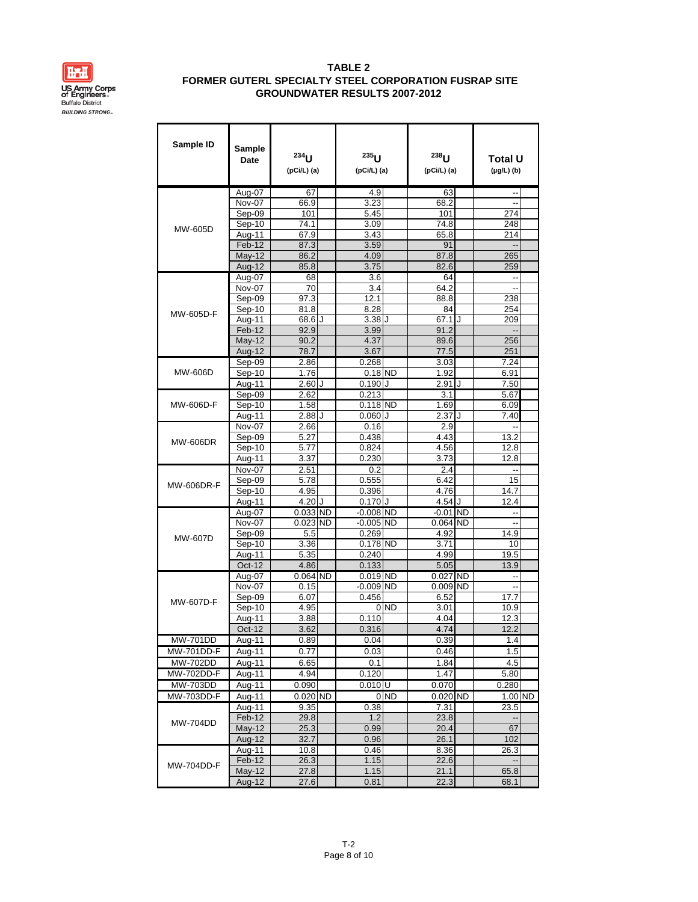

| Sample ID                     | Sample<br>Date          | 234<br>$(pCi/L)$ (a) | $235$ U<br>(pCi/L) (a) |                 | $238$ U<br>(pCi/L) (a) |           | Total U<br>$(\mu g/L)$ (b) |  |
|-------------------------------|-------------------------|----------------------|------------------------|-----------------|------------------------|-----------|----------------------------|--|
|                               | Aug-07                  | 67                   | 4.9                    |                 | 63                     |           | ٠.                         |  |
|                               | <b>Nov-07</b>           | 66.9                 | 3.23                   |                 | 68.2                   |           | ٠.                         |  |
|                               | Sep-09                  | 101                  | 5.45                   |                 | 101                    |           | 274                        |  |
| MW-605D                       | Sep-10                  | 74.1                 | 3.09                   |                 | 74.8                   |           | 248                        |  |
|                               | Aug-11                  | 67.9                 | 3.43                   |                 | 65.8                   |           | 214                        |  |
|                               | Feb-12                  | 87.3                 | 3.59                   |                 | 91                     |           |                            |  |
|                               | <b>May-12</b>           | 86.2                 | 4.09                   |                 | 87.8                   |           | 265                        |  |
|                               | Aug-12                  | 85.8                 | 3.75                   |                 | 82.6                   |           | 259                        |  |
|                               | Aug-07                  | 68                   | 3.6                    |                 | 64                     |           | Ξ.                         |  |
|                               | Nov-07                  | 70                   | 3.4                    |                 | 64.2                   |           |                            |  |
|                               | Sep-09<br>Sep-10        | 97.3<br>81.8         | 12.1<br>8.28           |                 | 88.8<br>84             |           | 238<br>254                 |  |
| MW-605D-F                     | Aug-11                  | 68.6<br>۱.           | 3.38                   | $\cdot$         | 67.1                   | ۱.        | 209                        |  |
|                               | Feb-12                  | 92.9                 | 3.99                   |                 | 91.2                   |           |                            |  |
|                               | $May-12$                | 90.2                 | 4.37                   |                 | 89.6                   |           | 256                        |  |
|                               | Aug-12                  | 78.7                 | 3.67                   |                 | 77.5                   |           | 251                        |  |
|                               | Sep-09                  | 2.86                 | 0.268                  |                 | 3.03                   |           | 7.24                       |  |
| MW-606D                       | Sep-10                  | 1.76                 | $0.18$ ND              |                 | 1.92                   |           | 6.91                       |  |
|                               | Aug-11                  | 2.60<br>J            | 0.190                  | J               | 2.91                   | J         | 7.50                       |  |
|                               | Sep-09                  | 2.62                 | 0.213                  |                 | 3.1                    |           | 5.67                       |  |
| MW-606D-F                     | Sep-10                  | 1.58                 | $0.118$ ND             |                 | 1.69                   |           | 6.09                       |  |
|                               | Aug-11                  | 2.88<br>J            | 0.060                  | $\cdot$         | 2.37                   | J         | 7.40                       |  |
|                               | Nov-07                  | 2.66                 | 0.16                   |                 | 2.9                    |           | ٠.                         |  |
| <b>MW-606DR</b>               | Sep-09                  | 5.27                 | 0.438                  |                 | 4.43                   |           | 13.2                       |  |
|                               | Sep-10                  | 5.77                 | 0.824                  |                 | 4.56                   |           | 12.8                       |  |
|                               | Aug-11                  | 3.37                 | 0.230                  |                 | 3.73                   |           | 12.8                       |  |
|                               | Nov-07                  | 2.51                 | 0.2                    |                 | 2.4                    |           | ٠.                         |  |
| <b>MW-606DR-F</b>             | Sep-09                  | 5.78                 | 0.555                  |                 | 6.42                   |           | 15                         |  |
|                               | Sep-10                  | 4.95                 | 0.396                  |                 | 4.76                   |           | 14.7                       |  |
|                               | Aug-11                  | 4.20<br>J            | $0.170$ J              |                 | 4.54 J                 |           | 12.4                       |  |
|                               | Aug-07                  | <b>ND</b><br>0.033   | $-0.008$ ND            |                 | $-0.01$                | <b>ND</b> |                            |  |
|                               | Nov-07                  | 0.023<br><b>ND</b>   | $-0.005$ ND            |                 | 0.064                  | <b>ND</b> | --                         |  |
| <b>MW-607D</b>                | Sep-09                  | 5.5                  | 0.269                  |                 | 4.92                   |           | 14.9                       |  |
|                               | Sep-10                  | 3.36                 | 0.178 ND               |                 | 3.71<br>4.99           |           | 10                         |  |
|                               | Aug-11<br><b>Oct-12</b> | 5.35<br>4.86         | 0.240<br>0.133         |                 | 5.05                   |           | 19.5<br>13.9               |  |
|                               | Aug-07                  | $0.064$ ND           | $0.019$ ND             |                 | $0.027$ ND             |           |                            |  |
|                               | Nov-07                  | 0.15                 | $-0.009$ ND            |                 | 0.009 ND               |           | ٠.                         |  |
|                               | Sep-09                  | 6.07                 | 0.456                  |                 | 6.52                   |           | 17.7                       |  |
| MW-607D-F                     | Sep-10                  | 4.95                 |                        | 0 <sub>ND</sub> | 3.01                   |           | 10.9                       |  |
|                               | Aug-11                  | 3.88                 | 0.110                  |                 | 4.04                   |           | 12.3                       |  |
|                               | Oct-12                  | 3.62                 | 0.316                  |                 | 4.74                   |           | 12.2                       |  |
| <b>MW-701DD</b>               | Aug-11                  | 0.89                 | 0.04                   |                 | 0.39                   |           | 1.4                        |  |
| <b>MW-701DD-F</b>             | Aug-11                  | 0.77                 | 0.03                   |                 | 0.46                   |           | 1.5                        |  |
| MW-702DD                      | Aug-11                  | 6.65                 | 0.1                    |                 | 1.84                   |           | 4.5                        |  |
| MW-702DD-F                    | Aug-11                  | 4.94                 | 0.120                  |                 | 1.47                   |           | 5.80                       |  |
| $\overline{\text{MW-7}}$ 03DD | Aug-11                  | 0.090                | $0.010$ U              |                 | 0.070                  |           | 0.280                      |  |
| MW-703DD-F                    | Aug-11                  | 0.020 ND             |                        | 0 <sub>ND</sub> | 0.020 ND               |           | 1.00 ND                    |  |
|                               | Aug-11                  | 9.35                 | 0.38                   |                 | 7.31                   |           | 23.5                       |  |
| <b>MW-704DD</b>               | Feb-12                  | 29.8                 | 1.2                    |                 | 23.8                   |           |                            |  |
|                               | $May-12$                | 25.3                 | 0.99                   |                 | 20.4                   |           | 67                         |  |
|                               | Aug-12                  | 32.7                 | 0.96                   |                 | 26.1                   |           | 102                        |  |
|                               | Aug-11                  | 10.8                 | 0.46                   |                 | 8.36                   |           | 26.3                       |  |
| <b>MW-704DD-F</b>             | Feb-12                  | 26.3                 | 1.15                   |                 | 22.6                   |           |                            |  |
|                               | $May-12$                | 27.8                 | 1.15                   |                 | 21.1                   |           | 65.8                       |  |
|                               | Aug-12                  | 27.6                 | 0.81                   |                 | 22.3                   |           | 68.1                       |  |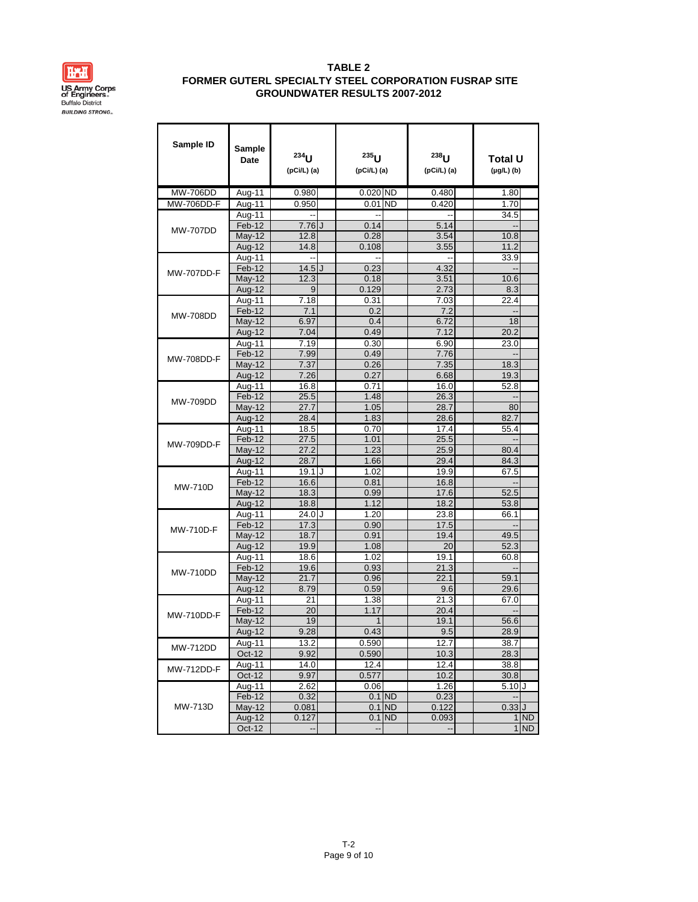

| Sample ID         | Sample<br>Date      | $234$ <sub>II</sub><br>(pCi/L) (a) | 235<br>(pCi/L) (a) |          | $238$ <sub>U</sub><br>(pCi/L) (a) | Total U<br>$(\mu g/L)$ (b) |
|-------------------|---------------------|------------------------------------|--------------------|----------|-----------------------------------|----------------------------|
| <b>MW-706DD</b>   | Aug-11              | 0.980                              | $0.020$ ND         |          | 0.480                             | 1.80                       |
| <b>MW-706DD-F</b> | Aug-11              | 0.950                              | $0.01$ ND          |          | 0.420                             | 1.70                       |
|                   | Aug-11              |                                    |                    |          |                                   | 34.5                       |
| <b>MW-707DD</b>   | Feb-12              | $7.76$ $J$                         | 0.14               |          | 5.14                              | Ξ.                         |
|                   | May-12              | 12.8                               | 0.28               |          | 3.54                              | 10.8                       |
|                   | Aug-12              | 14.8                               | 0.108              |          | 3.55                              | 11.2                       |
|                   | Aug-11              |                                    |                    |          |                                   | 33.9                       |
| <b>MW-707DD-F</b> | $Feb-12$            | $14.5$ $J$                         | 0.23               |          | 4.32                              |                            |
|                   | May-12              | 12.3                               | 0.18               |          | 3.51                              | 10.6                       |
|                   | Aug-12              | 9                                  | 0.129              |          | 2.73                              | 8.3                        |
|                   | Aug-11              | 7.18                               | 0.31               |          | 7.03                              | 22.4                       |
| <b>MW-708DD</b>   | Feb-12              | 7.1                                | 0.2                |          | 7.2                               | ٠.                         |
|                   | <b>May-12</b>       | 6.97                               | 0.4                |          | 6.72                              | 18                         |
|                   | Aug-12              | 7.04                               | 0.49               |          | 7.12                              | 20.2                       |
|                   | Aug-11              | 7.19                               | 0.30               |          | 6.90                              | 23.0                       |
| <b>MW-708DD-F</b> | Feb-12              | 7.99                               | 0.49               |          | 7.76                              | Ξ.                         |
|                   | <b>May-12</b>       | 7.37                               | 0.26               |          | 7.35                              | 18.3                       |
|                   | Aug-12              | 7.26                               | 0.27               |          | 6.68                              | 19.3                       |
|                   | Aug-11              | 16.8                               | 0.71               |          | 16.0                              | 52.8                       |
| <b>MW-709DD</b>   | Feb-12              | 25.5                               | 1.48               |          | 26.3                              | ٠.                         |
|                   | <b>May-12</b>       | 27.7                               | 1.05               |          | 28.7                              | 80                         |
|                   | Aug-12              | 28.4                               | 1.83               |          | 28.6                              | 82.7                       |
|                   | Aug-11<br>Feb-12    | 18.5<br>27.5                       | 0.70<br>1.01       |          | 17.4                              | 55.4<br>--                 |
| <b>MW-709DD-F</b> | <b>May-12</b>       | 27.2                               | 1.23               |          | 25.5<br>25.9                      | 80.4                       |
|                   | Aug-12              | 28.7                               | 1.66               |          | 29.4                              | 84.3                       |
|                   | Aug-11              | 19.1<br>IJ                         | 1.02               |          | 19.9                              | 67.5                       |
|                   | Feb-12              | 16.6                               | 0.81               |          | 16.8                              | Ξ.                         |
| <b>MW-710D</b>    | <b>May-12</b>       | 18.3                               | 0.99               |          | 17.6                              | 52.5                       |
|                   | Aug-12              | 18.8                               | 1.12               |          | 18.2                              | 53.8                       |
|                   | Aug-11              | 24.0 J                             | 1.20               |          | 23.8                              | 66.1                       |
|                   | Feb-12              | 17.3                               | 0.90               |          | 17.5                              |                            |
| MW-710D-F         | <b>May-12</b>       | 18.7                               | 0.91               |          | 19.4                              | 49.5                       |
|                   | Aug-12              | 19.9                               | 1.08               |          | 20                                | 52.3                       |
|                   | Aug-11              | 18.6                               | 1.02               |          | 19.1                              | 60.8                       |
| <b>MW-710DD</b>   | Feb-12              | 19.6                               | 0.93               |          | 21.3                              |                            |
|                   | May-12              | 21.7                               | 0.96               |          | 22.1                              | 59.1                       |
|                   | Aug-12              | 8.79                               | 0.59               |          | 9.6                               | 29.6                       |
|                   | $A\overline{ug-11}$ | 21                                 | 1.38               |          | 21.3                              | 67.0                       |
| <b>MW-710DD-F</b> | Feb-12              | 20                                 | 1.17               |          | 20.4                              |                            |
|                   | May-12              | 19                                 | 1                  |          | 19.1                              | 56.6                       |
|                   | Aug-12              | 9.28                               | 0.43               |          | 9.5                               | 28.9                       |
| <b>MW-712DD</b>   | Aug-11              | 13.2                               | 0.590              |          | 12.7                              | 38.7                       |
|                   | Oct-12              | 9.92                               | 0.590              |          | 10.3                              | 28.3                       |
| MW-712DD-F        | Aug-11              | 14.0                               | 12.4               |          | 12.4                              | 38.8                       |
|                   | Oct-12              | 9.97                               | 0.577              |          | 10.2                              | 30.8                       |
|                   | Aug-11              | 2.62                               | 0.06               |          | 1.26                              | 5.10J                      |
|                   | Feb-12              | 0.32                               |                    | $0.1$ ND | 0.23                              | $\overline{\phantom{a}}$   |
| <b>MW-713D</b>    | $May-12$            | 0.081                              |                    | $0.1$ ND | 0.122                             | $0.33$ $J$                 |
|                   | Aug-12              | 0.127                              |                    | $0.1$ ND | 0.093                             | 1 ND<br>$1$ ND             |
|                   | Oct-12              | --                                 |                    |          |                                   |                            |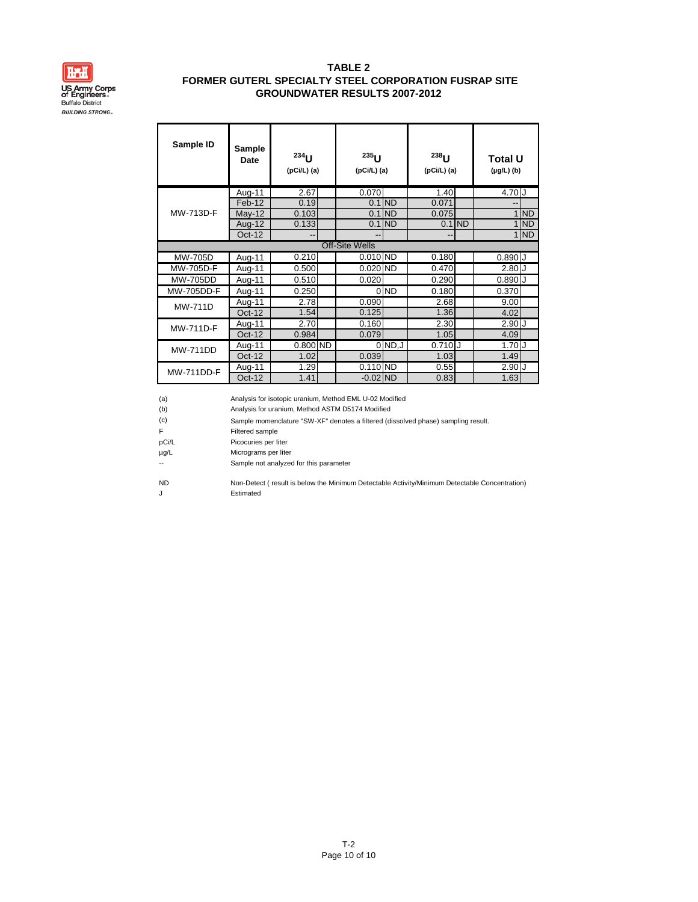

| Sample ID         | Sample<br>Date | $234$ U<br>$(pCi/L)$ (a) | $235$ U<br>$(pCi/L)$ (a) |                 | $238$ U<br>$(pCi/L)$ (a) |           | <b>Total U</b><br>$(\mu g/L)$ (b) |           |
|-------------------|----------------|--------------------------|--------------------------|-----------------|--------------------------|-----------|-----------------------------------|-----------|
|                   | Aug-11         | 2.67                     | 0.070                    |                 | 1.40                     |           | 4.70 J                            |           |
|                   | Feb-12         | 0.19                     |                          | $0.1$ ND        | 0.071                    |           |                                   |           |
| MW-713D-F         | $May-12$       | 0.103                    |                          | $0.1$ ND        | 0.075                    |           | $\mathbf{1}$                      | <b>ND</b> |
|                   | Aug-12         | 0.133                    |                          | $0.1$ ND        | 0.1                      | <b>ND</b> | $\mathbf{1}$                      | <b>ND</b> |
|                   | Oct-12         |                          |                          |                 |                          |           |                                   | $1$ ND    |
|                   |                |                          | <b>Off-Site Wells</b>    |                 |                          |           |                                   |           |
| MW-705D           | Aug-11         | 0.210                    | $0.010$ ND               |                 | 0.180                    |           | $0.890$ J                         |           |
| MW-705D-F         | Aug-11         | 0.500                    | 0.020 ND                 |                 | 0.470                    |           | 2.80J                             |           |
| <b>MW-705DD</b>   | Aug-11         | 0.510                    | 0.020                    |                 | 0.290                    |           | $0.890$ J                         |           |
| MW-705DD-F        | Aug-11         | 0.250                    |                          | 0 <sub>ND</sub> | 0.180                    |           | 0.370                             |           |
| <b>MW-711D</b>    | Aug-11         | 2.78                     | 0.090                    |                 | 2.68                     |           | 9.00                              |           |
|                   | $Oct-12$       | 1.54                     | 0.125                    |                 | 1.36                     |           | 4.02                              |           |
| <b>MW-711D-F</b>  | Aug-11         | 2.70                     | 0.160                    |                 | 2.30                     |           | 2.90J                             |           |
|                   | $Oct-12$       | 0.984                    | 0.079                    |                 | 1.05                     |           | 4.09                              |           |
| <b>MW-711DD</b>   | Aug-11         | $0.800$ ND               |                          | $0$ ND, $J$     | 0.710                    |           | 1.70J                             |           |
|                   | $Oct-12$       | 1.02                     | 0.039                    |                 | 1.03                     |           | 1.49                              |           |
| <b>MW-711DD-F</b> | Aug-11         | 1.29                     | $0.110$ ND               |                 | 0.55                     |           | 2.90J                             |           |
|                   | Oct-12         | 1.41                     | $-0.02$ ND               |                 | 0.83                     |           | 1.63                              |           |

| (a)<br>(b) | Analysis for isotopic uranium, Method EML U-02 Modified<br>Analysis for uranium, Method ASTM D5174 Modified |
|------------|-------------------------------------------------------------------------------------------------------------|
| (c)        | Sample momenclature "SW-XF" denotes a filtered (dissolved phase) sampling result.                           |
| F          | Filtered sample                                                                                             |
| pCi/L      | Picocuries per liter                                                                                        |
| $\mu$ g/L  | Micrograms per liter                                                                                        |
|            | Sample not analyzed for this parameter                                                                      |
| <b>ND</b>  | Non-Detect (result is below the Minimum Detectable Activity/Minimum Detectable Concentration)               |
| J          | Estimated                                                                                                   |